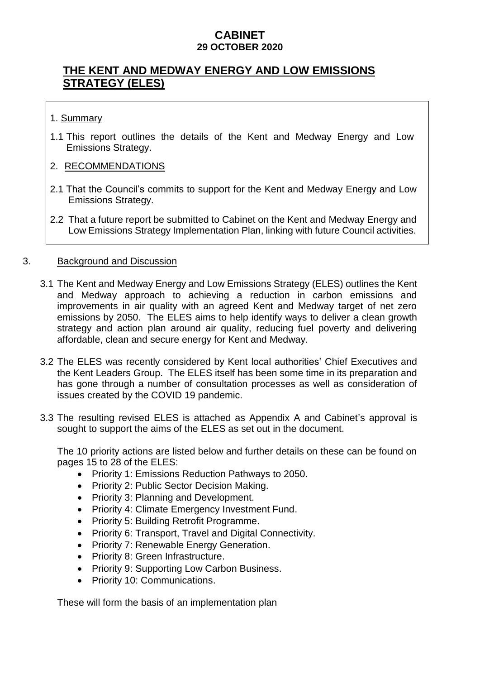# **THE KENT AND MEDWAY ENERGY AND LOW EMISSIONS STRATEGY (ELES)**

#### 1. Summary

1.1 This report outlines the details of the Kent and Medway Energy and Low Emissions Strategy.

#### 2. RECOMMENDATIONS

- 2.1 That the Council's commits to support for the Kent and Medway Energy and Low Emissions Strategy.
- 2.2 That a future report be submitted to Cabinet on the Kent and Medway Energy and Low Emissions Strategy Implementation Plan, linking with future Council activities.

#### 3. Background and Discussion

- 3.1 The Kent and Medway Energy and Low Emissions Strategy (ELES) outlines the Kent and Medway approach to achieving a reduction in carbon emissions and improvements in air quality with an agreed Kent and Medway target of net zero emissions by 2050. The ELES aims to help identify ways to deliver a clean growth strategy and action plan around air quality, reducing fuel poverty and delivering affordable, clean and secure energy for Kent and Medway.
- 3.2 The ELES was recently considered by Kent local authorities' Chief Executives and the Kent Leaders Group. The ELES itself has been some time in its preparation and has gone through a number of consultation processes as well as consideration of issues created by the COVID 19 pandemic.
- 3.3 The resulting revised ELES is attached as Appendix A and Cabinet's approval is sought to support the aims of the ELES as set out in the document.

The 10 priority actions are listed below and further details on these can be found on pages 15 to 28 of the ELES:

- Priority 1: Emissions Reduction Pathways to 2050.
- Priority 2: Public Sector Decision Making.
- Priority 3: Planning and Development.
- Priority 4: Climate Emergency Investment Fund.
- Priority 5: Building Retrofit Programme.
- Priority 6: Transport, Travel and Digital Connectivity.
- Priority 7: Renewable Energy Generation.
- Priority 8: Green Infrastructure.
- Priority 9: Supporting Low Carbon Business.
- Priority 10: Communications.

These will form the basis of an implementation plan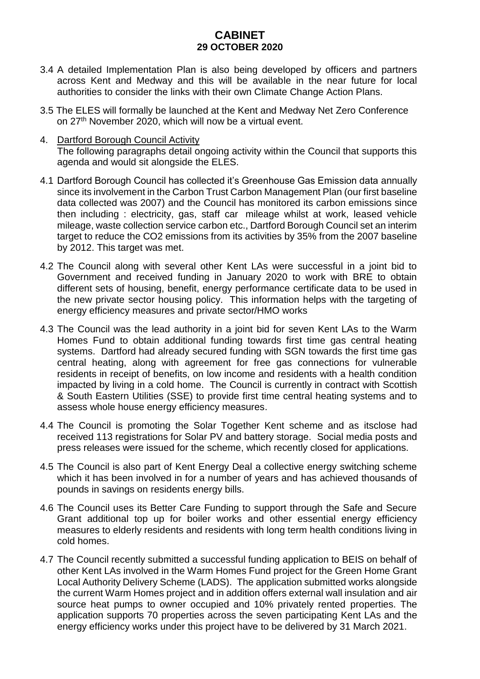- 3.4 A detailed Implementation Plan is also being developed by officers and partners across Kent and Medway and this will be available in the near future for local authorities to consider the links with their own Climate Change Action Plans.
- 3.5 The ELES will formally be launched at the Kent and Medway Net Zero Conference on 27th November 2020, which will now be a virtual event.
- 4. Dartford Borough Council Activity The following paragraphs detail ongoing activity within the Council that supports this agenda and would sit alongside the ELES.
- 4.1 Dartford Borough Council has collected it's Greenhouse Gas Emission data annually since its involvement in the Carbon Trust Carbon Management Plan (our first baseline data collected was 2007) and the Council has monitored its carbon emissions since then including : electricity, gas, staff car mileage whilst at work, leased vehicle mileage, waste collection service carbon etc., Dartford Borough Council set an interim target to reduce the CO2 emissions from its activities by 35% from the 2007 baseline by 2012. This target was met.
- 4.2 The Council along with several other Kent LAs were successful in a joint bid to Government and received funding in January 2020 to work with BRE to obtain different sets of housing, benefit, energy performance certificate data to be used in the new private sector housing policy. This information helps with the targeting of energy efficiency measures and private sector/HMO works
- 4.3 The Council was the lead authority in a joint bid for seven Kent LAs to the Warm Homes Fund to obtain additional funding towards first time gas central heating systems. Dartford had already secured funding with SGN towards the first time gas central heating, along with agreement for free gas connections for vulnerable residents in receipt of benefits, on low income and residents with a health condition impacted by living in a cold home. The Council is currently in contract with Scottish & South Eastern Utilities (SSE) to provide first time central heating systems and to assess whole house energy efficiency measures.
- 4.4 The Council is promoting the Solar Together Kent scheme and as itsclose had received 113 registrations for Solar PV and battery storage. Social media posts and press releases were issued for the scheme, which recently closed for applications.
- 4.5 The Council is also part of Kent Energy Deal a collective energy switching scheme which it has been involved in for a number of years and has achieved thousands of pounds in savings on residents energy bills.
- 4.6 The Council uses its Better Care Funding to support through the Safe and Secure Grant additional top up for boiler works and other essential energy efficiency measures to elderly residents and residents with long term health conditions living in cold homes.
- 4.7 The Council recently submitted a successful funding application to BEIS on behalf of other Kent LAs involved in the Warm Homes Fund project for the Green Home Grant Local Authority Delivery Scheme (LADS). The application submitted works alongside the current Warm Homes project and in addition offers external wall insulation and air source heat pumps to owner occupied and 10% privately rented properties. The application supports 70 properties across the seven participating Kent LAs and the energy efficiency works under this project have to be delivered by 31 March 2021.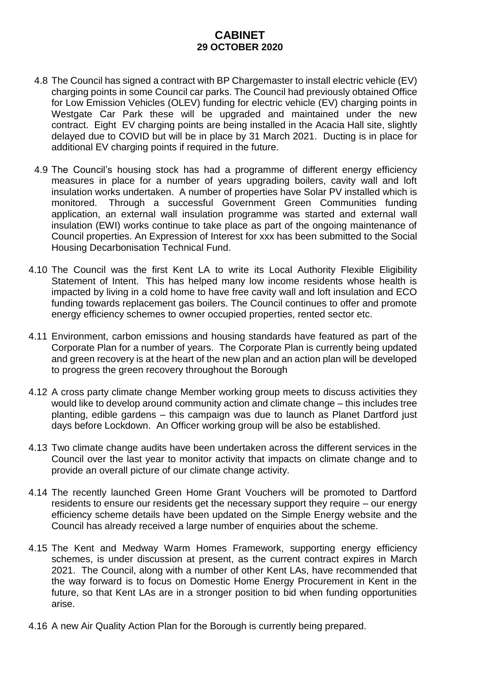- 4.8 The Council has signed a contract with BP Chargemaster to install electric vehicle (EV) charging points in some Council car parks. The Council had previously obtained Office for Low Emission Vehicles (OLEV) funding for electric vehicle (EV) charging points in Westgate Car Park these will be upgraded and maintained under the new contract. Eight EV charging points are being installed in the Acacia Hall site, slightly delayed due to COVID but will be in place by 31 March 2021. Ducting is in place for additional EV charging points if required in the future.
- 4.9 The Council's housing stock has had a programme of different energy efficiency measures in place for a number of years upgrading boilers, cavity wall and loft insulation works undertaken. A number of properties have Solar PV installed which is monitored. Through a successful Government Green Communities funding application, an external wall insulation programme was started and external wall insulation (EWI) works continue to take place as part of the ongoing maintenance of Council properties. An Expression of Interest for xxx has been submitted to the Social Housing Decarbonisation Technical Fund.
- 4.10 The Council was the first Kent LA to write its Local Authority Flexible Eligibility Statement of Intent. This has helped many low income residents whose health is impacted by living in a cold home to have free cavity wall and loft insulation and ECO funding towards replacement gas boilers. The Council continues to offer and promote energy efficiency schemes to owner occupied properties, rented sector etc.
- 4.11 Environment, carbon emissions and housing standards have featured as part of the Corporate Plan for a number of years. The Corporate Plan is currently being updated and green recovery is at the heart of the new plan and an action plan will be developed to progress the green recovery throughout the Borough
- 4.12 A cross party climate change Member working group meets to discuss activities they would like to develop around community action and climate change – this includes tree planting, edible gardens – this campaign was due to launch as Planet Dartford just days before Lockdown. An Officer working group will be also be established.
- 4.13 Two climate change audits have been undertaken across the different services in the Council over the last year to monitor activity that impacts on climate change and to provide an overall picture of our climate change activity.
- 4.14 The recently launched Green Home Grant Vouchers will be promoted to Dartford residents to ensure our residents get the necessary support they require – our energy efficiency scheme details have been updated on the Simple Energy website and the Council has already received a large number of enquiries about the scheme.
- 4.15 The Kent and Medway Warm Homes Framework, supporting energy efficiency schemes, is under discussion at present, as the current contract expires in March 2021. The Council, along with a number of other Kent LAs, have recommended that the way forward is to focus on Domestic Home Energy Procurement in Kent in the future, so that Kent LAs are in a stronger position to bid when funding opportunities arise.
- 4.16 A new Air Quality Action Plan for the Borough is currently being prepared.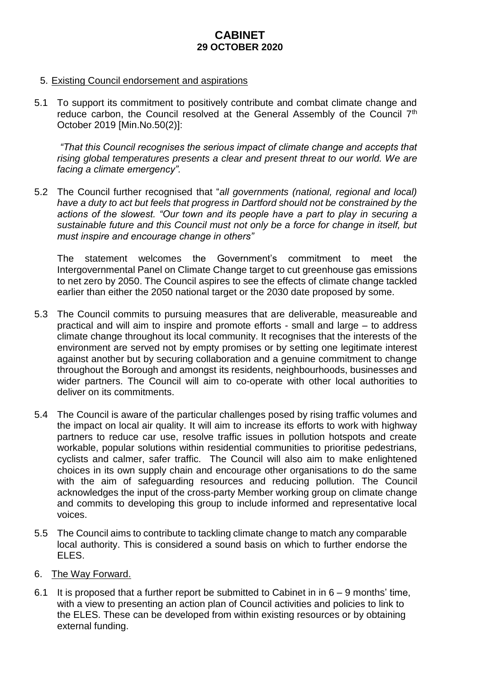#### 5. Existing Council endorsement and aspirations

5.1 To support its commitment to positively contribute and combat climate change and reduce carbon, the Council resolved at the General Assembly of the Council 7<sup>th</sup> October 2019 [Min.No.50(2)]:

*"That this Council recognises the serious impact of climate change and accepts that rising global temperatures presents a clear and present threat to our world. We are facing a climate emergency".*

5.2 The Council further recognised that "*all governments (national, regional and local) have a duty to act but feels that progress in Dartford should not be constrained by the actions of the slowest. "Our town and its people have a part to play in securing a sustainable future and this Council must not only be a force for change in itself, but must inspire and encourage change in others"*

The statement welcomes the Government's commitment to meet the Intergovernmental Panel on Climate Change target to cut greenhouse gas emissions to net zero by 2050. The Council aspires to see the effects of climate change tackled earlier than either the 2050 national target or the 2030 date proposed by some.

- 5.3 The Council commits to pursuing measures that are deliverable, measureable and practical and will aim to inspire and promote efforts - small and large – to address climate change throughout its local community. It recognises that the interests of the environment are served not by empty promises or by setting one legitimate interest against another but by securing collaboration and a genuine commitment to change throughout the Borough and amongst its residents, neighbourhoods, businesses and wider partners. The Council will aim to co-operate with other local authorities to deliver on its commitments.
- 5.4 The Council is aware of the particular challenges posed by rising traffic volumes and the impact on local air quality. It will aim to increase its efforts to work with highway partners to reduce car use, resolve traffic issues in pollution hotspots and create workable, popular solutions within residential communities to prioritise pedestrians, cyclists and calmer, safer traffic. The Council will also aim to make enlightened choices in its own supply chain and encourage other organisations to do the same with the aim of safeguarding resources and reducing pollution. The Council acknowledges the input of the cross-party Member working group on climate change and commits to developing this group to include informed and representative local voices.
- 5.5 The Council aims to contribute to tackling climate change to match any comparable local authority. This is considered a sound basis on which to further endorse the ELES.
- 6. The Way Forward.
- 6.1 It is proposed that a further report be submitted to Cabinet in in  $6 9$  months' time, with a view to presenting an action plan of Council activities and policies to link to the ELES. These can be developed from within existing resources or by obtaining external funding.